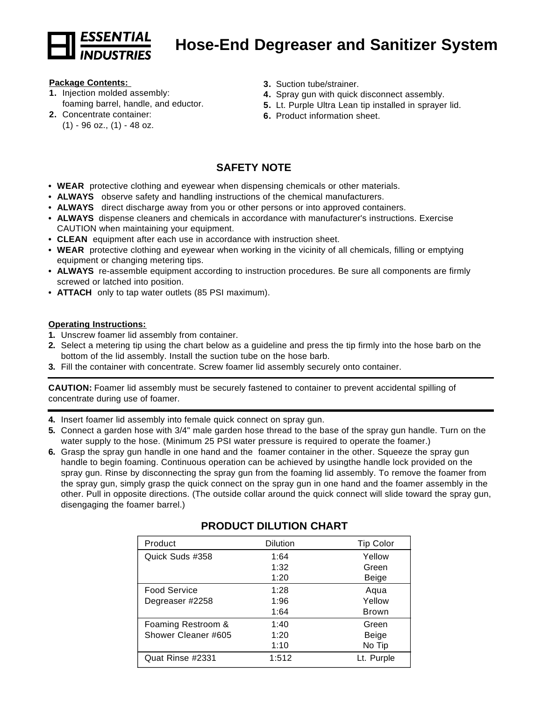

# **Hose-End Degreaser and Sanitizer System**

#### **Package Contents:**

- **1.** Injection molded assembly: foaming barrel, handle, and eductor.
- **2.** Concentrate container:  $(1)$  - 96 oz.,  $(1)$  - 48 oz.
- **3.** Suction tube/strainer.
- **4.** Spray gun with quick disconnect assembly.
- **5.** Lt. Purple Ultra Lean tip installed in sprayer lid.
- **6.** Product information sheet.

## **SAFETY NOTE**

- **WEAR** protective clothing and eyewear when dispensing chemicals or other materials.
- **• ALWAYS** observe safety and handling instructions of the chemical manufacturers.
- **• ALWAYS** direct discharge away from you or other persons or into approved containers.
- **• ALWAYS** dispense cleaners and chemicals in accordance with manufacturer's instructions. Exercise CAUTION when maintaining your equipment.
- **• CLEAN** equipment after each use in accordance with instruction sheet.
- **• WEAR** protective clothing and eyewear when working in the vicinity of all chemicals, filling or emptying equipment or changing metering tips.
- **• ALWAYS** re-assemble equipment according to instruction procedures. Be sure all components are firmly screwed or latched into position.
- **• ATTACH** only to tap water outlets (85 PSI maximum).

#### **Operating Instructions:**

- **1.** Unscrew foamer lid assembly from container.
- **2.** Select a metering tip using the chart below as a guideline and press the tip firmly into the hose barb on the bottom of the lid assembly. Install the suction tube on the hose barb.
- **3.** Fill the container with concentrate. Screw foamer lid assembly securely onto container.

**CAUTION:** Foamer lid assembly must be securely fastened to container to prevent accidental spilling of concentrate during use of foamer.

- **4.** Insert foamer lid assembly into female quick connect on spray gun.
- **5.** Connect a garden hose with 3/4" male garden hose thread to the base of the spray gun handle. Turn on the water supply to the hose. (Minimum 25 PSI water pressure is required to operate the foamer.)
- **6.** Grasp the spray gun handle in one hand and the foamer container in the other. Squeeze the spray gun handle to begin foaming. Continuous operation can be achieved by usingthe handle lock provided on the spray gun. Rinse by disconnecting the spray gun from the foaming lid assembly. To remove the foamer from the spray gun, simply grasp the quick connect on the spray gun in one hand and the foamer assembly in the other. Pull in opposite directions. (The outside collar around the quick connect will slide toward the spray gun, disengaging the foamer barrel.)

| Product             | <b>Dilution</b> | <b>Tip Color</b> |
|---------------------|-----------------|------------------|
| Quick Suds #358     | 1:64            | Yellow           |
|                     | 1:32            | Green            |
|                     | 1:20            | Beige            |
| <b>Food Service</b> | 1:28            | Aqua             |
| Degreaser #2258     | 1:96            | Yellow           |
|                     | 1:64            | <b>Brown</b>     |
| Foaming Restroom &  | 1:40            | Green            |
| Shower Cleaner #605 | 1:20            | Beige            |
|                     | 1:10            | No Tip           |
| Quat Rinse #2331    | 1:512           | Lt. Purple       |

## **PRODUCT DILUTION CHART**